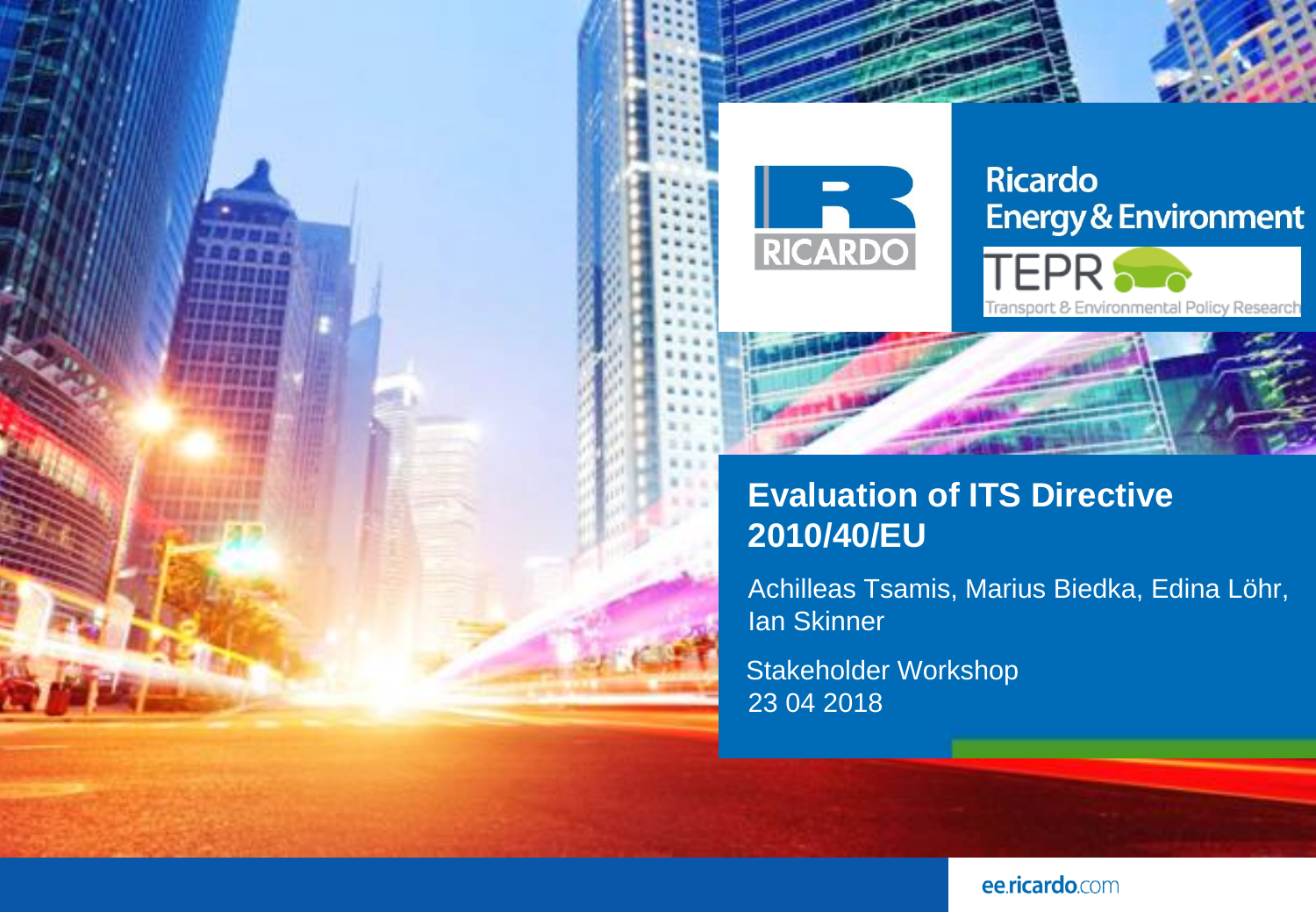

## **Ricardo Energy & Environment**



## **Evaluation of ITS Directive 2010/40/EU**

Achilleas Tsamis, Marius Biedka, Edina Löhr, Ian Skinner

Stakeholder Workshop 23 04 2018

ee.ricardo.com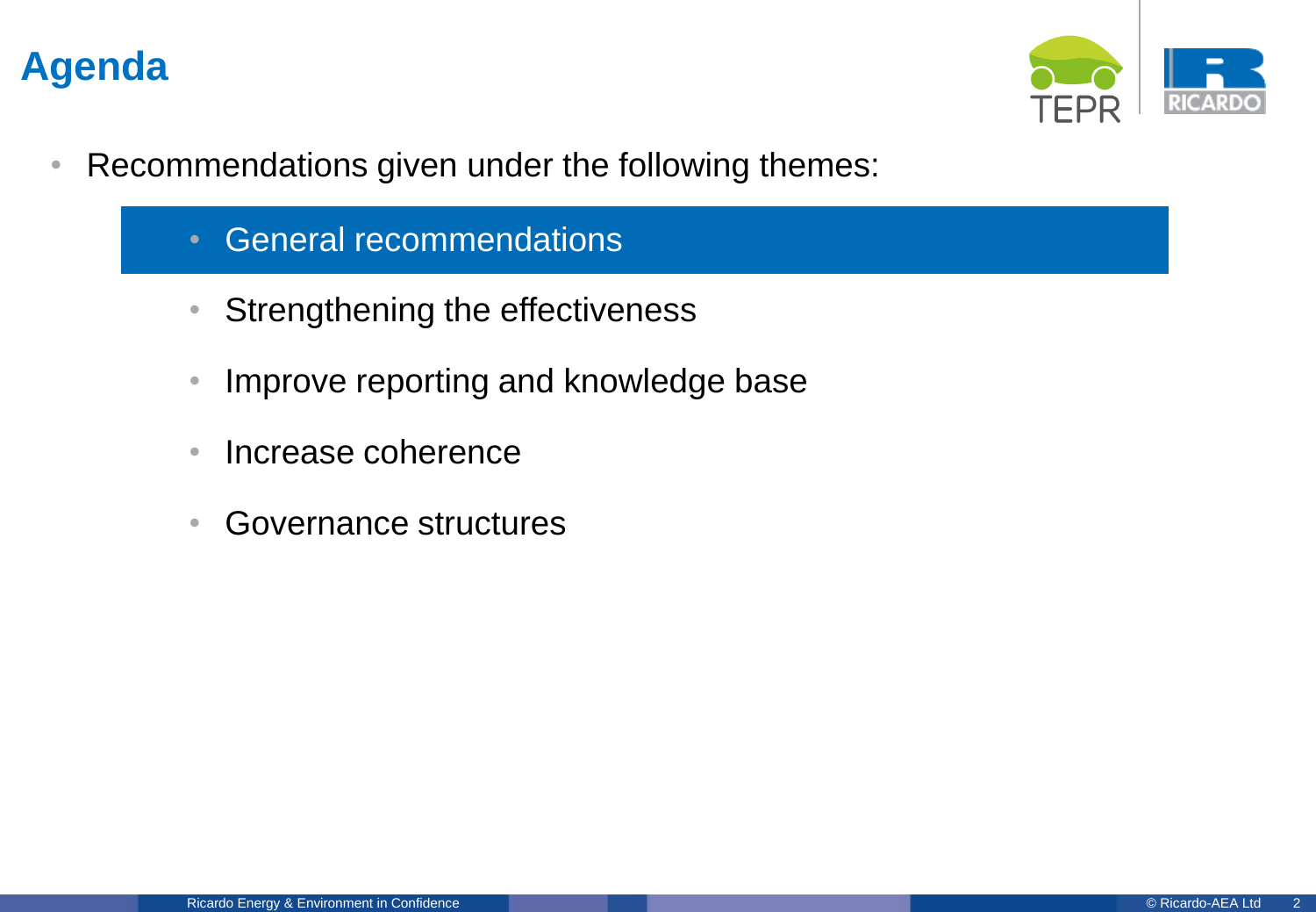

- Recommendations given under the following themes:
	- General recommendations
	- Strengthening the effectiveness
	- Improve reporting and knowledge base
	- Increase coherence
	- Governance structures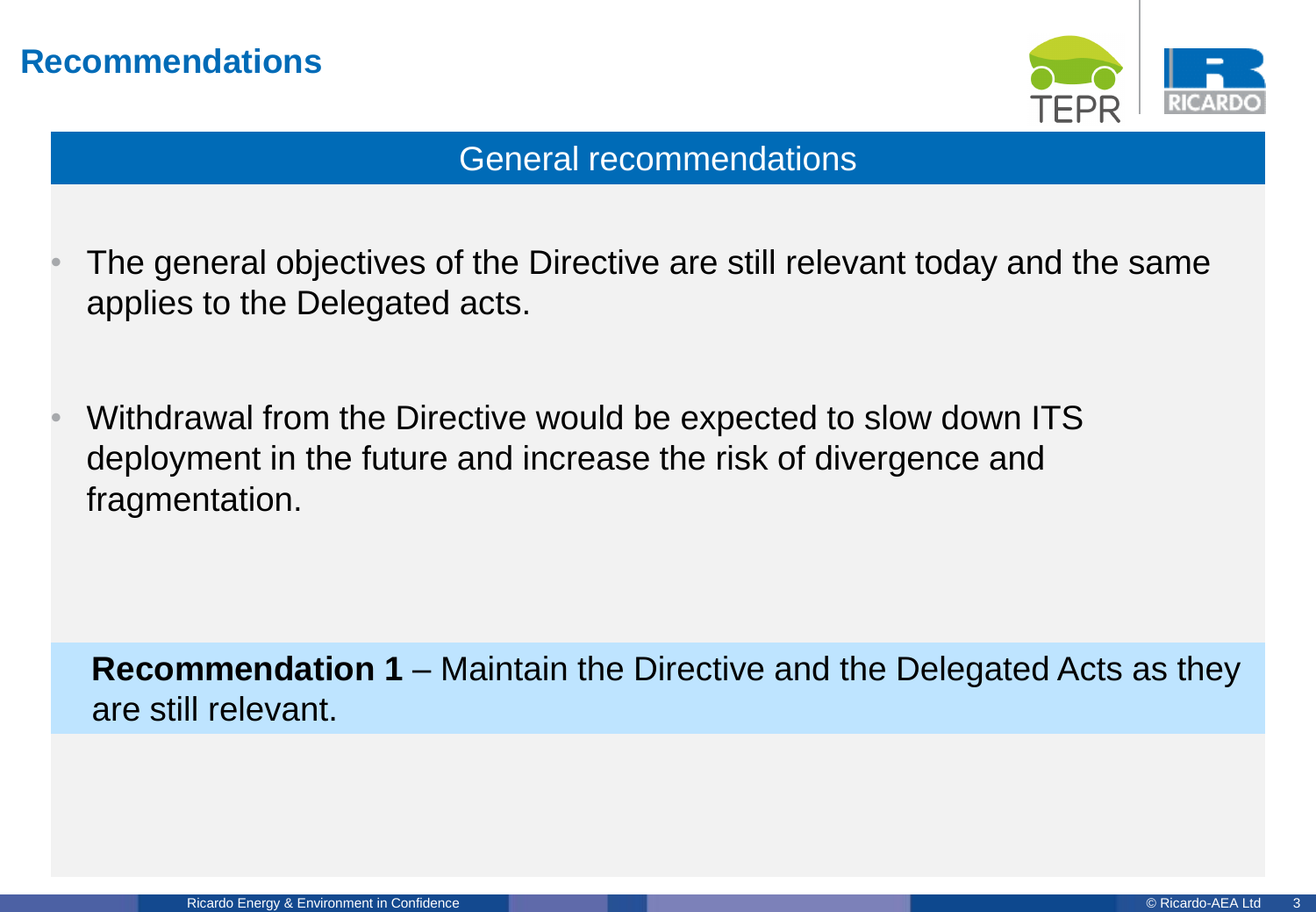

#### General recommendations

- The general objectives of the Directive are still relevant today and the same applies to the Delegated acts.
- Withdrawal from the Directive would be expected to slow down ITS deployment in the future and increase the risk of divergence and fragmentation.

**Recommendation 1** – Maintain the Directive and the Delegated Acts as they are still relevant.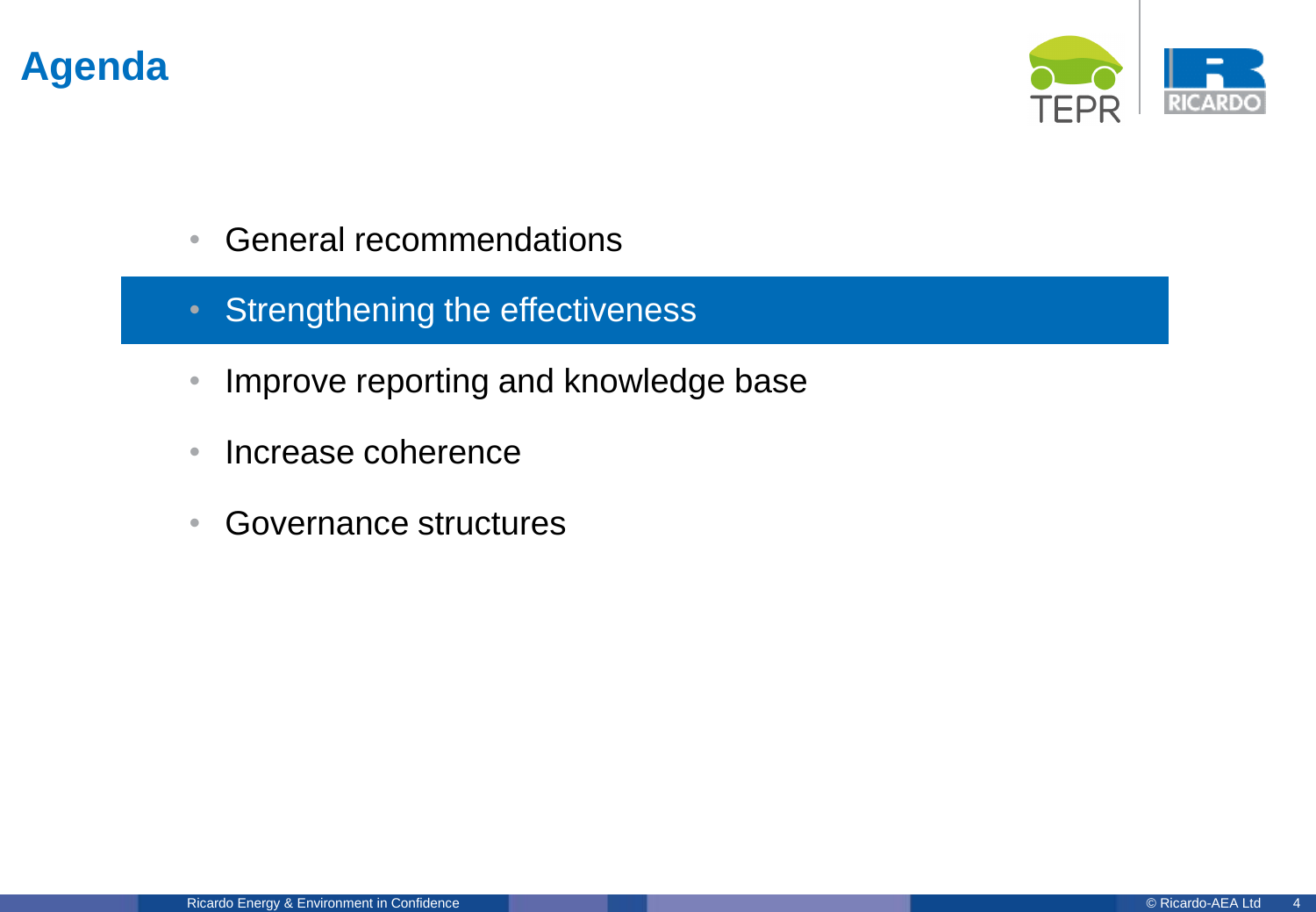

- General recommendations
- Strengthening the effectiveness
- Improve reporting and knowledge base
- Increase coherence
- Governance structures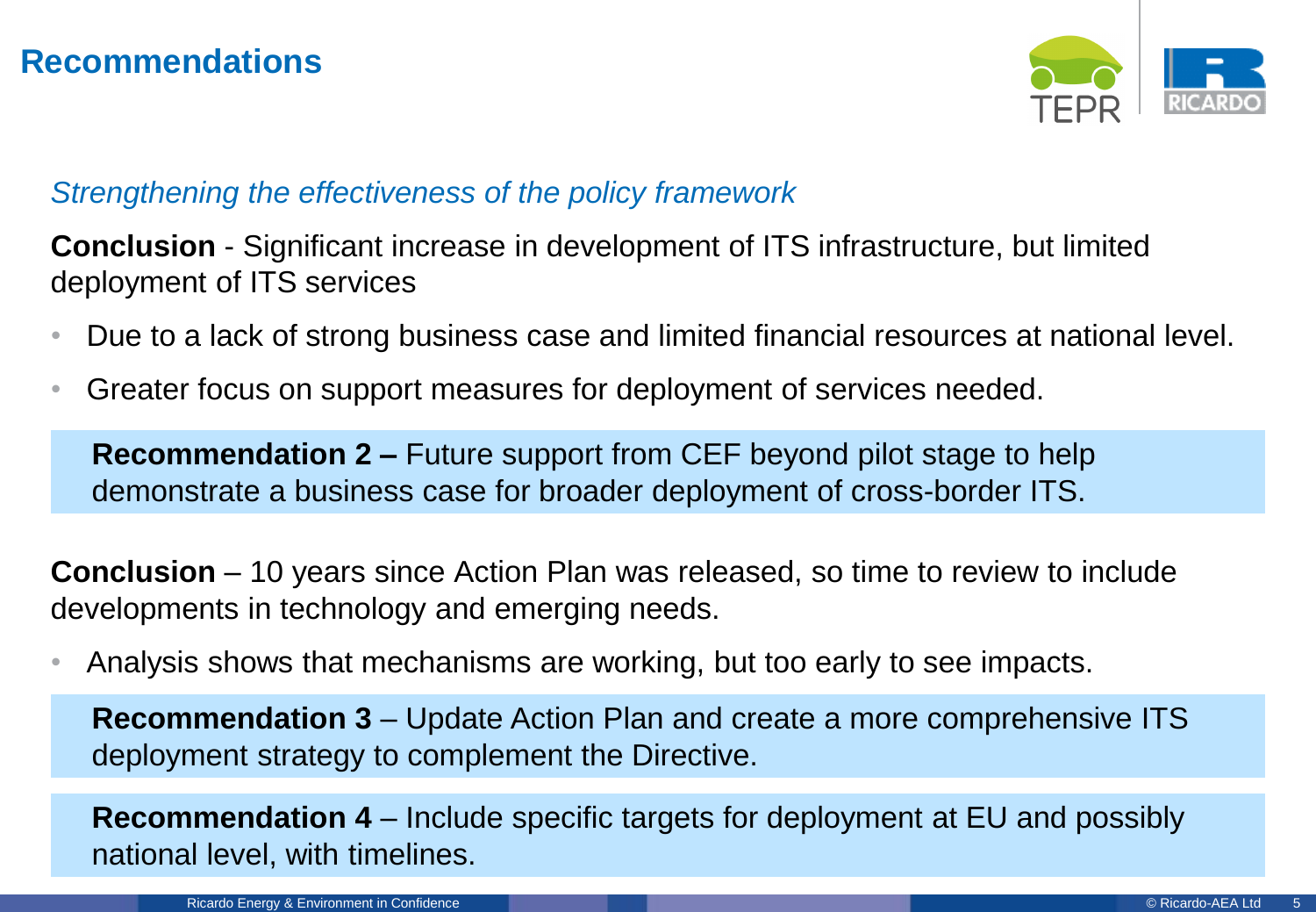

#### *Strengthening the effectiveness of the policy framework*

**Conclusion** - Significant increase in development of ITS infrastructure, but limited deployment of ITS services

- Due to a lack of strong business case and limited financial resources at national level.
- Greater focus on support measures for deployment of services needed.

**Recommendation 2 –** Future support from CEF beyond pilot stage to help demonstrate a business case for broader deployment of cross-border ITS.

**Conclusion** – 10 years since Action Plan was released, so time to review to include developments in technology and emerging needs.

• Analysis shows that mechanisms are working, but too early to see impacts.

**Recommendation 3** – Update Action Plan and create a more comprehensive ITS deployment strategy to complement the Directive.

**Recommendation 4** – Include specific targets for deployment at EU and possibly national level, with timelines.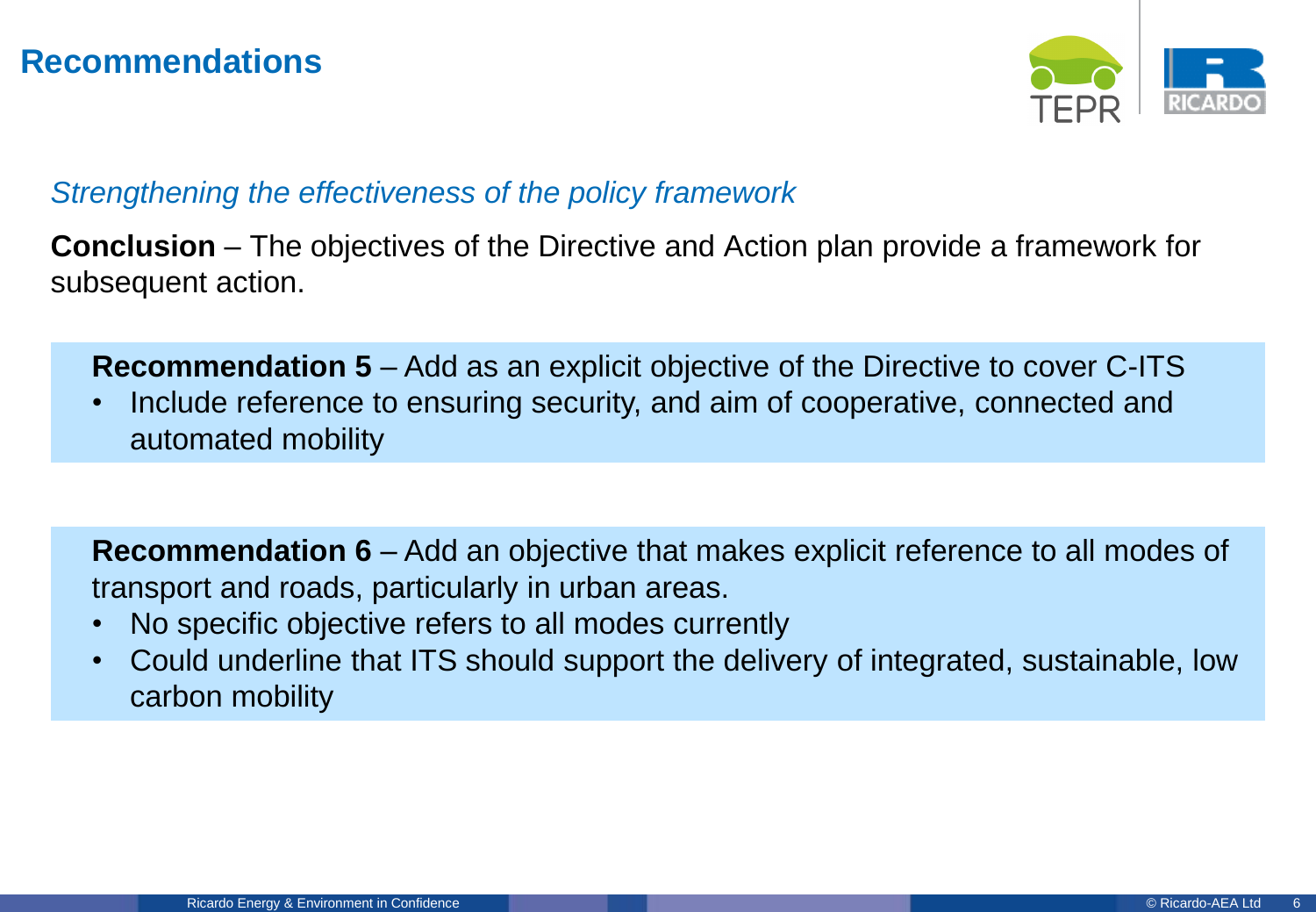

#### *Strengthening the effectiveness of the policy framework*

**Conclusion** – The objectives of the Directive and Action plan provide a framework for subsequent action.

**Recommendation 5** – Add as an explicit objective of the Directive to cover C-ITS

• Include reference to ensuring security, and aim of cooperative, connected and automated mobility

**Recommendation 6** – Add an objective that makes explicit reference to all modes of transport and roads, particularly in urban areas.

- No specific objective refers to all modes currently
- Could underline that ITS should support the delivery of integrated, sustainable, low carbon mobility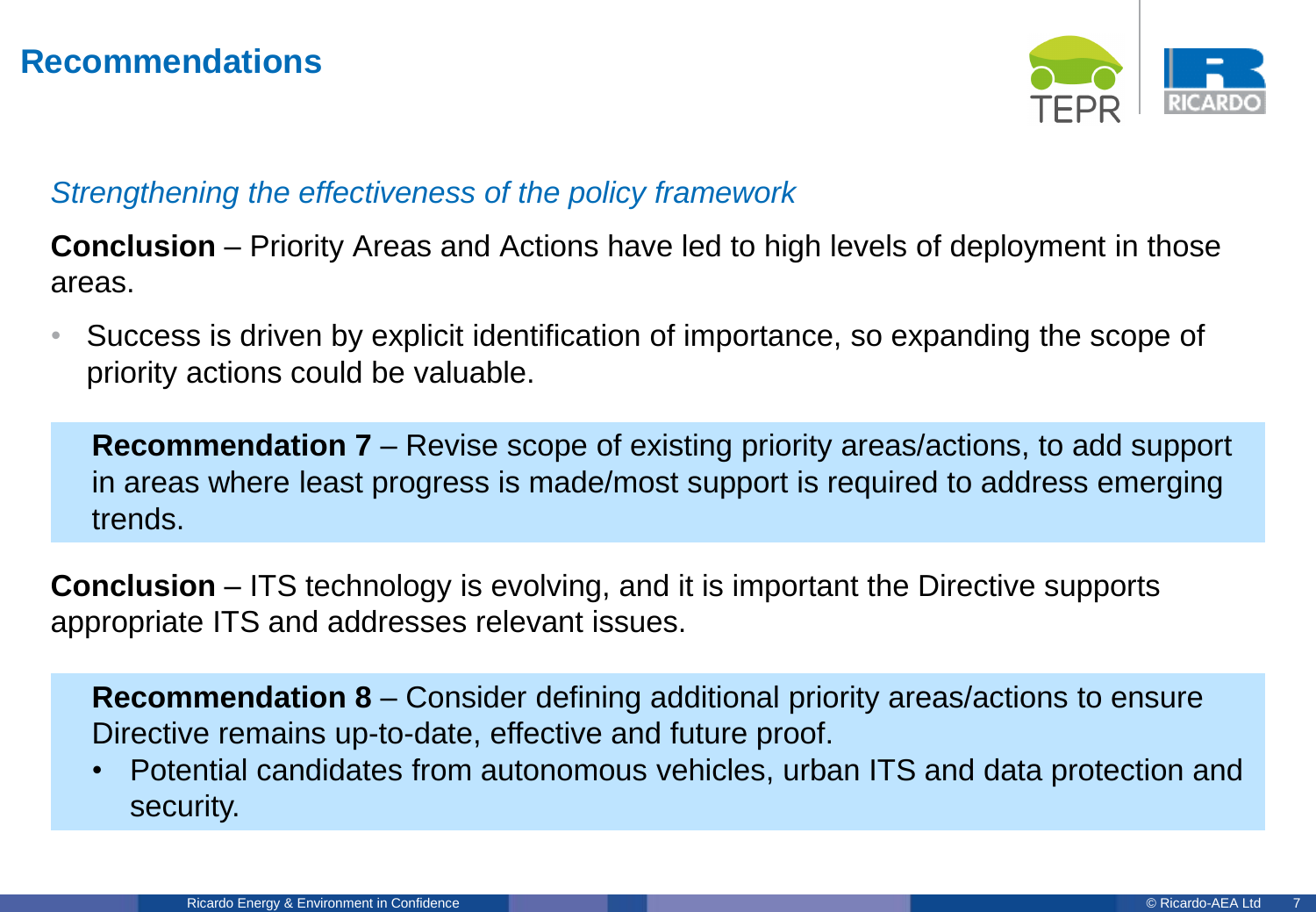

#### *Strengthening the effectiveness of the policy framework*

**Conclusion** – Priority Areas and Actions have led to high levels of deployment in those areas.

• Success is driven by explicit identification of importance, so expanding the scope of priority actions could be valuable.

**Recommendation 7** – Revise scope of existing priority areas/actions, to add support in areas where least progress is made/most support is required to address emerging trends.

**Conclusion** – ITS technology is evolving, and it is important the Directive supports appropriate ITS and addresses relevant issues.

**Recommendation 8** – Consider defining additional priority areas/actions to ensure Directive remains up-to-date, effective and future proof.

• Potential candidates from autonomous vehicles, urban ITS and data protection and security.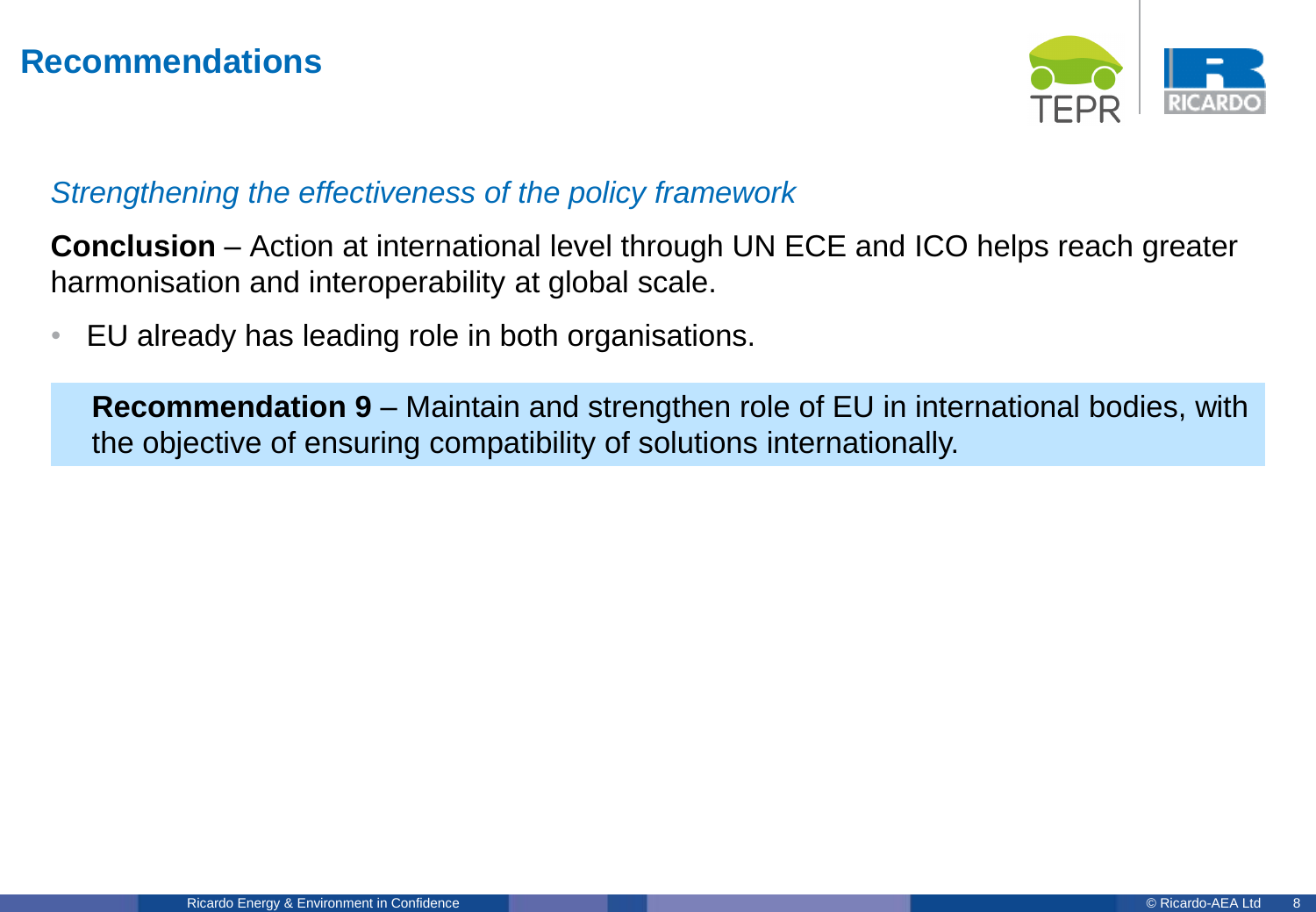

#### *Strengthening the effectiveness of the policy framework*

**Conclusion** – Action at international level through UN ECE and ICO helps reach greater harmonisation and interoperability at global scale.

• EU already has leading role in both organisations.

**Recommendation 9** – Maintain and strengthen role of EU in international bodies, with the objective of ensuring compatibility of solutions internationally.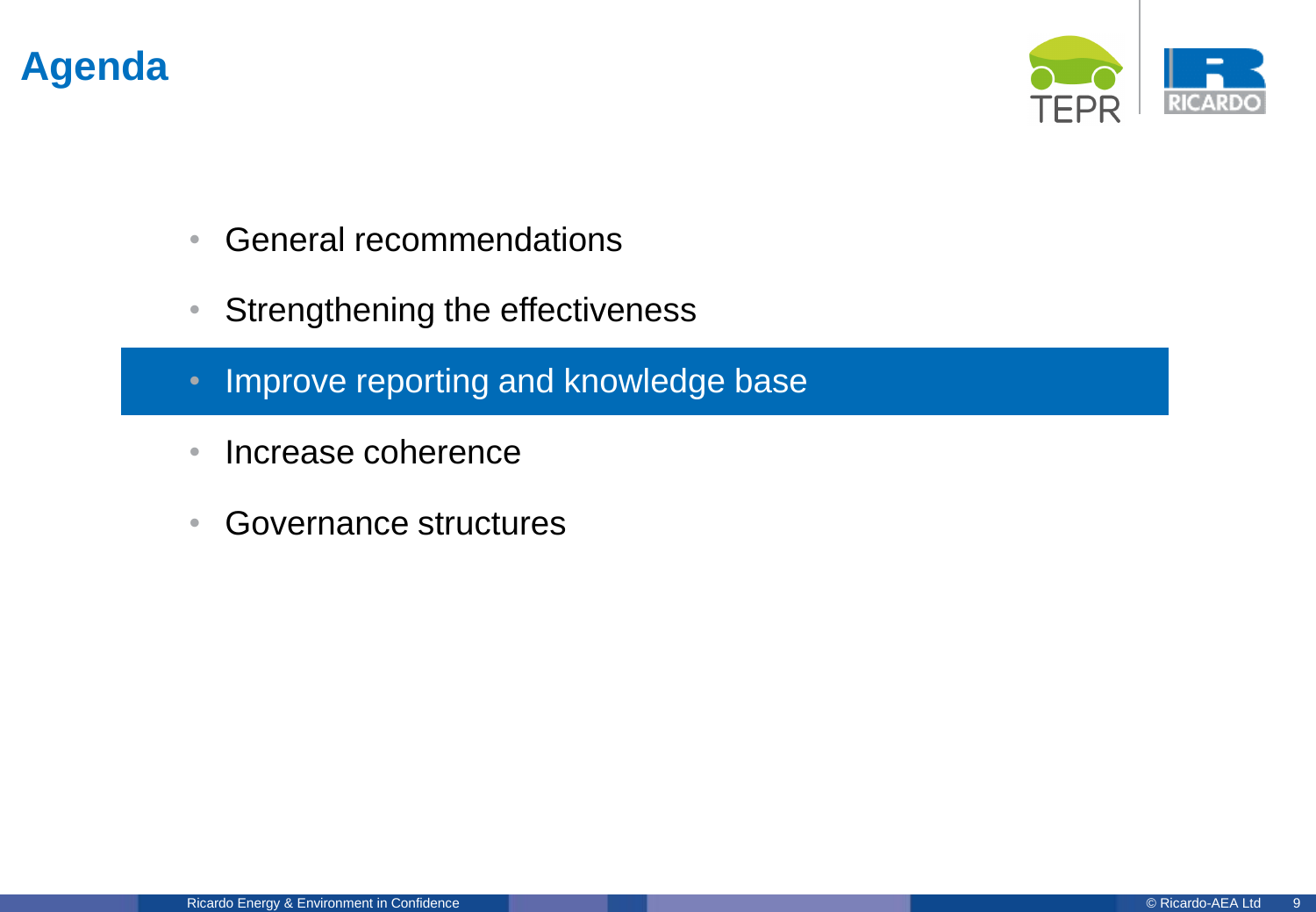

- General recommendations
- Strengthening the effectiveness
- Improve reporting and knowledge base
- Increase coherence
- Governance structures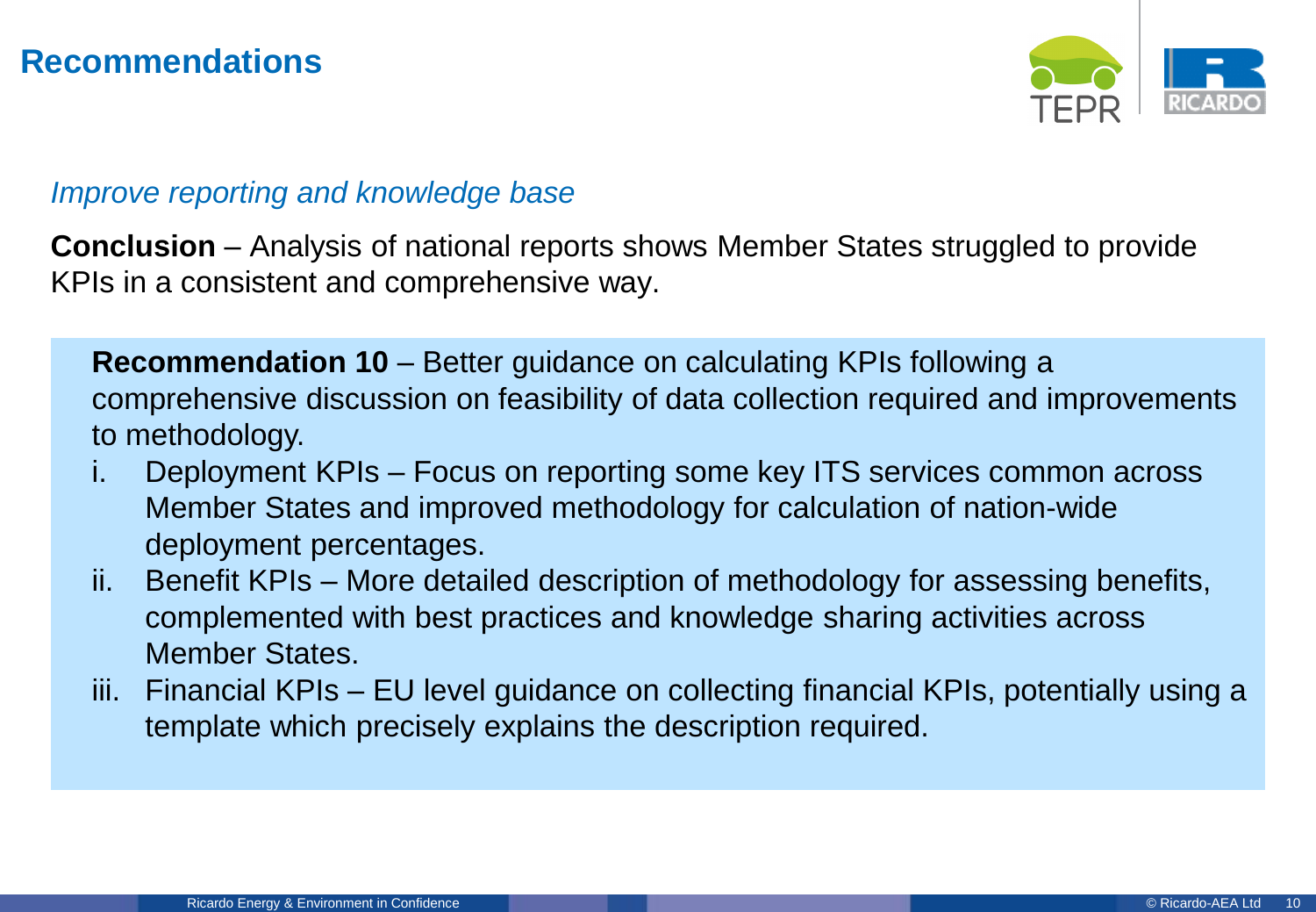

#### *Improve reporting and knowledge base*

**Conclusion** – Analysis of national reports shows Member States struggled to provide KPIs in a consistent and comprehensive way.

**Recommendation 10** – Better guidance on calculating KPIs following a comprehensive discussion on feasibility of data collection required and improvements to methodology.

- i. Deployment KPIs Focus on reporting some key ITS services common across Member States and improved methodology for calculation of nation-wide deployment percentages.
- ii. Benefit KPIs More detailed description of methodology for assessing benefits, complemented with best practices and knowledge sharing activities across Member States.
- iii. Financial KPIs EU level guidance on collecting financial KPIs, potentially using a template which precisely explains the description required.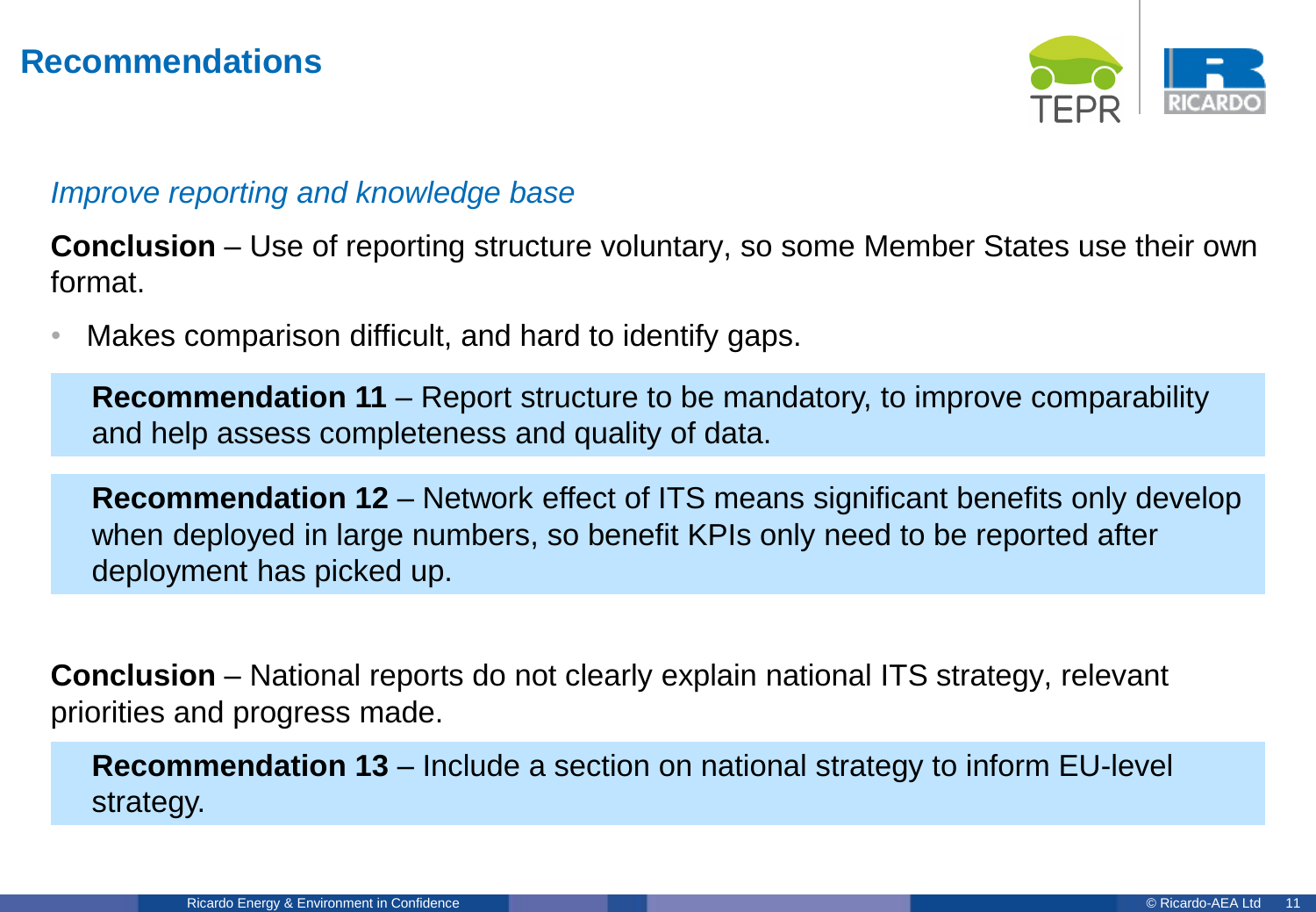

#### *Improve reporting and knowledge base*

**Conclusion** – Use of reporting structure voluntary, so some Member States use their own format.

Makes comparison difficult, and hard to identify gaps.

**Recommendation 11** – Report structure to be mandatory, to improve comparability and help assess completeness and quality of data.

**Recommendation 12** – Network effect of ITS means significant benefits only develop when deployed in large numbers, so benefit KPIs only need to be reported after deployment has picked up.

**Conclusion** – National reports do not clearly explain national ITS strategy, relevant priorities and progress made.

**Recommendation 13** – Include a section on national strategy to inform EU-level strategy.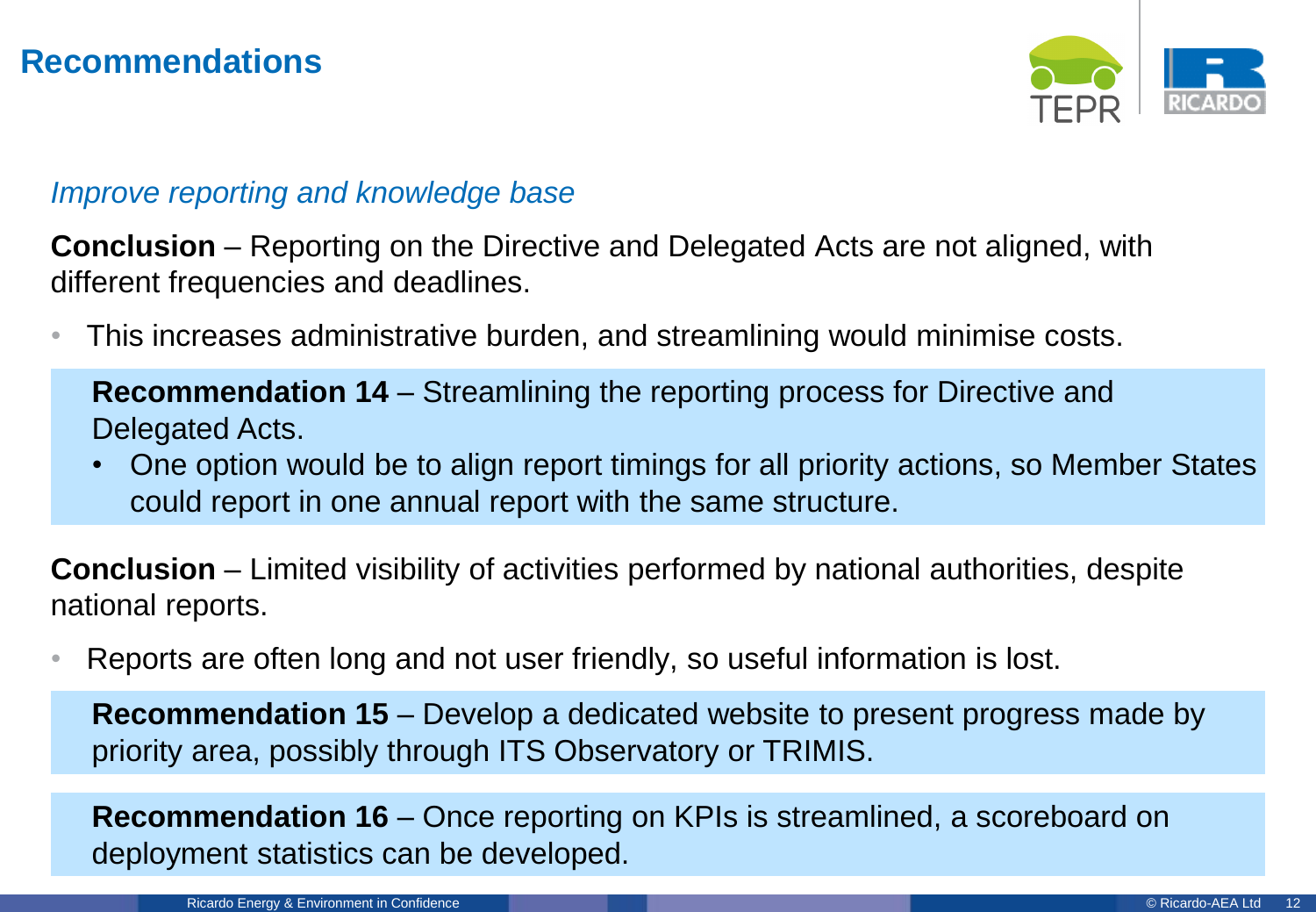

#### *Improve reporting and knowledge base*

**Conclusion** – Reporting on the Directive and Delegated Acts are not aligned, with different frequencies and deadlines.

• This increases administrative burden, and streamlining would minimise costs.

**Recommendation 14** – Streamlining the reporting process for Directive and Delegated Acts.

• One option would be to align report timings for all priority actions, so Member States could report in one annual report with the same structure.

**Conclusion** – Limited visibility of activities performed by national authorities, despite national reports.

• Reports are often long and not user friendly, so useful information is lost.

**Recommendation 15** – Develop a dedicated website to present progress made by priority area, possibly through ITS Observatory or TRIMIS.

**Recommendation 16** – Once reporting on KPIs is streamlined, a scoreboard on deployment statistics can be developed.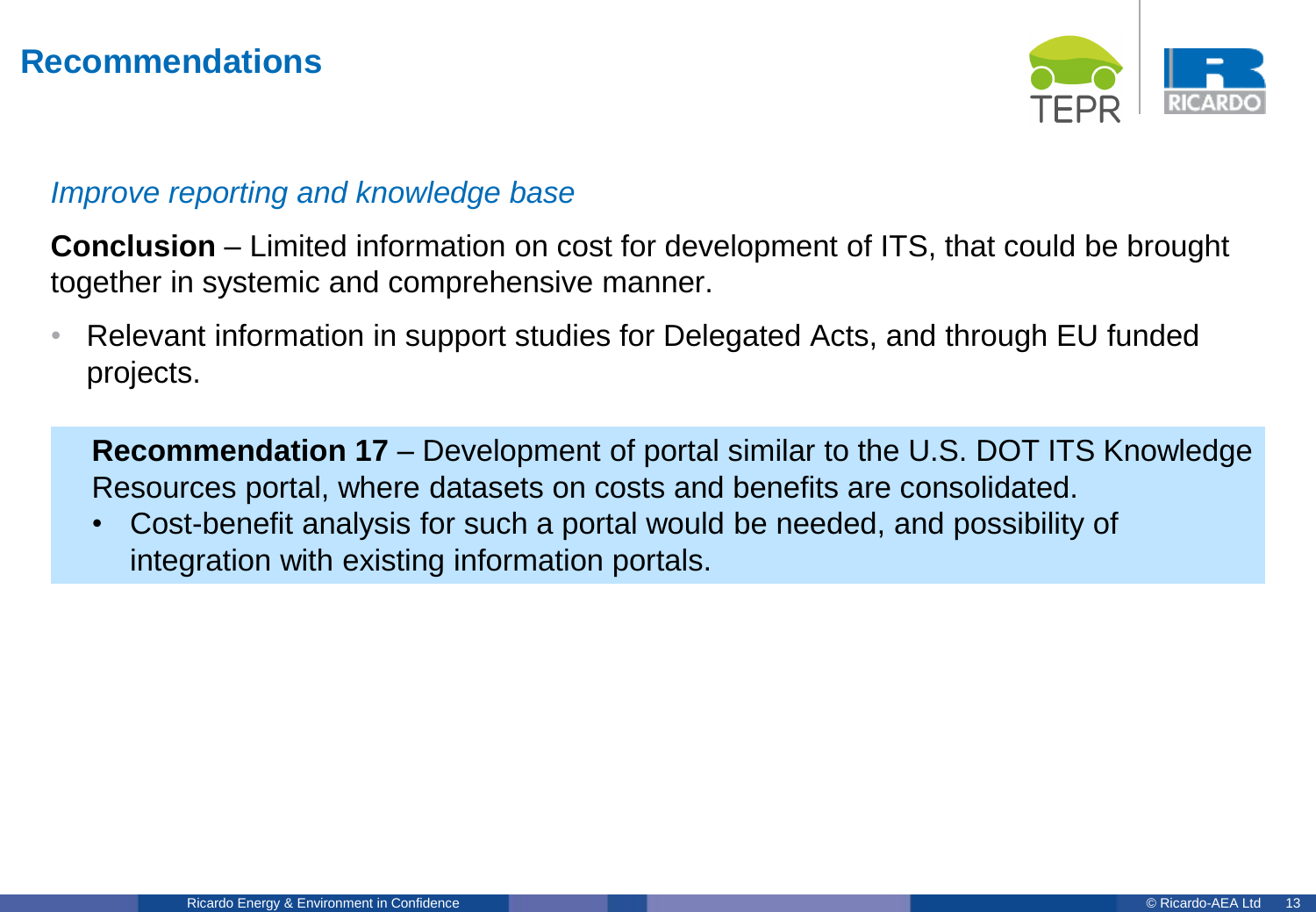

#### *Improve reporting and knowledge base*

**Conclusion** – Limited information on cost for development of ITS, that could be brought together in systemic and comprehensive manner.

• Relevant information in support studies for Delegated Acts, and through EU funded projects.

**Recommendation 17** – Development of portal similar to the U.S. DOT ITS Knowledge Resources portal, where datasets on costs and benefits are consolidated.

• Cost-benefit analysis for such a portal would be needed, and possibility of integration with existing information portals.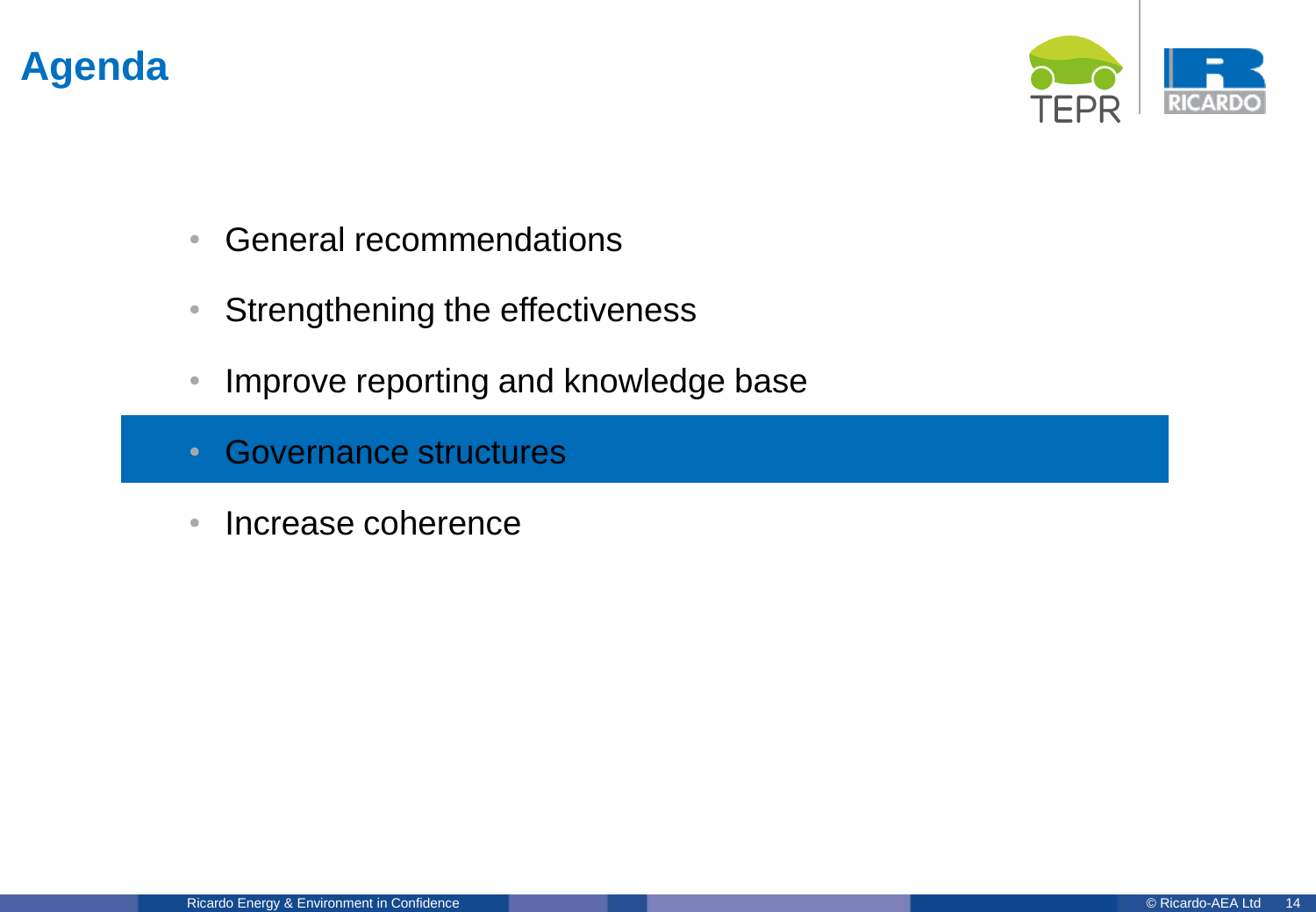

- General recommendations
- Strengthening the effectiveness
- Improve reporting and knowledge base
- Governance structures
- Increase coherence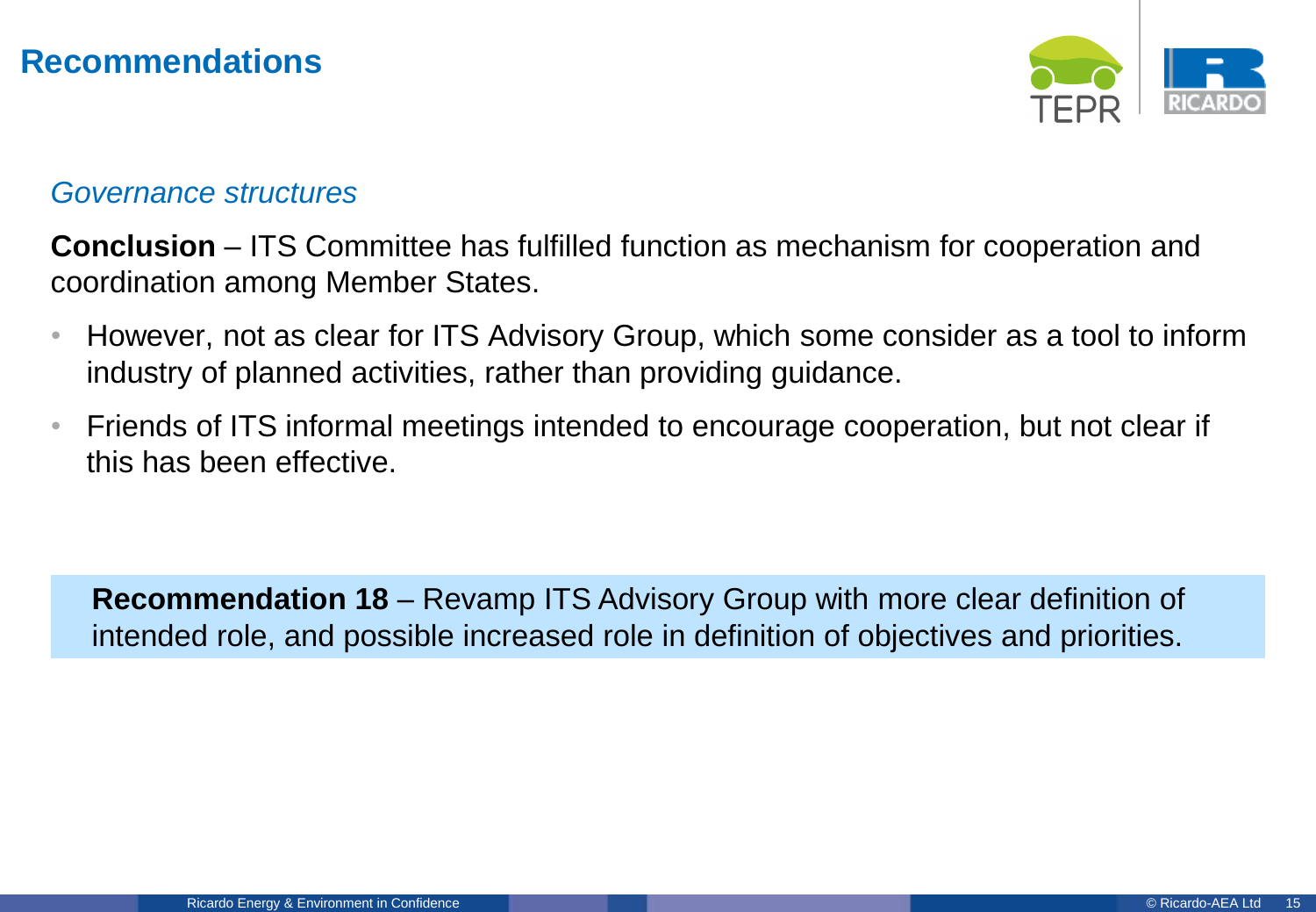

#### *Governance structures*

**Conclusion** – ITS Committee has fulfilled function as mechanism for cooperation and coordination among Member States.

- However, not as clear for ITS Advisory Group, which some consider as a tool to inform industry of planned activities, rather than providing guidance.
- Friends of ITS informal meetings intended to encourage cooperation, but not clear if this has been effective.

**Recommendation 18** – Revamp ITS Advisory Group with more clear definition of intended role, and possible increased role in definition of objectives and priorities.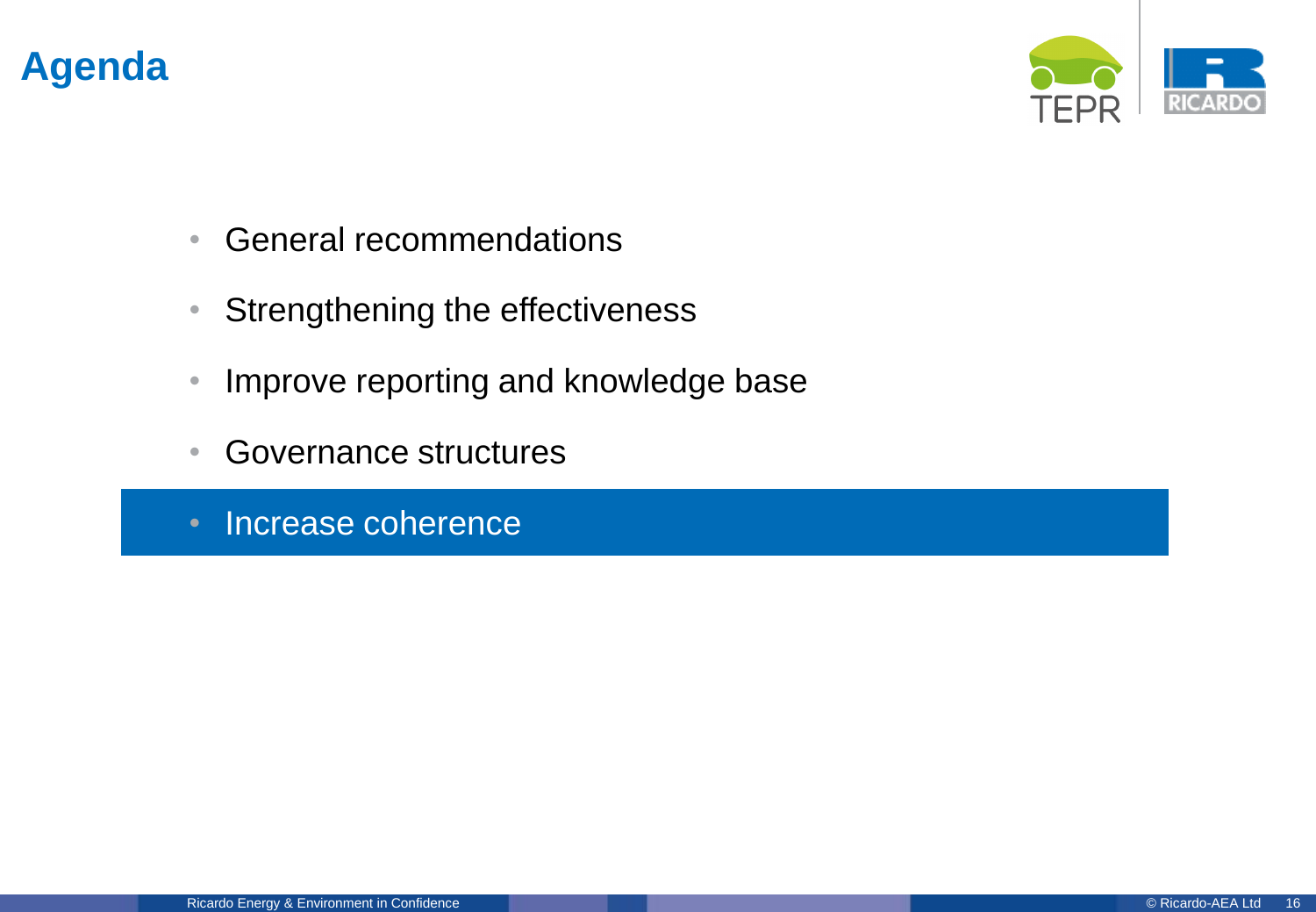

- General recommendations
- Strengthening the effectiveness
- Improve reporting and knowledge base
- Governance structures
- Increase coherence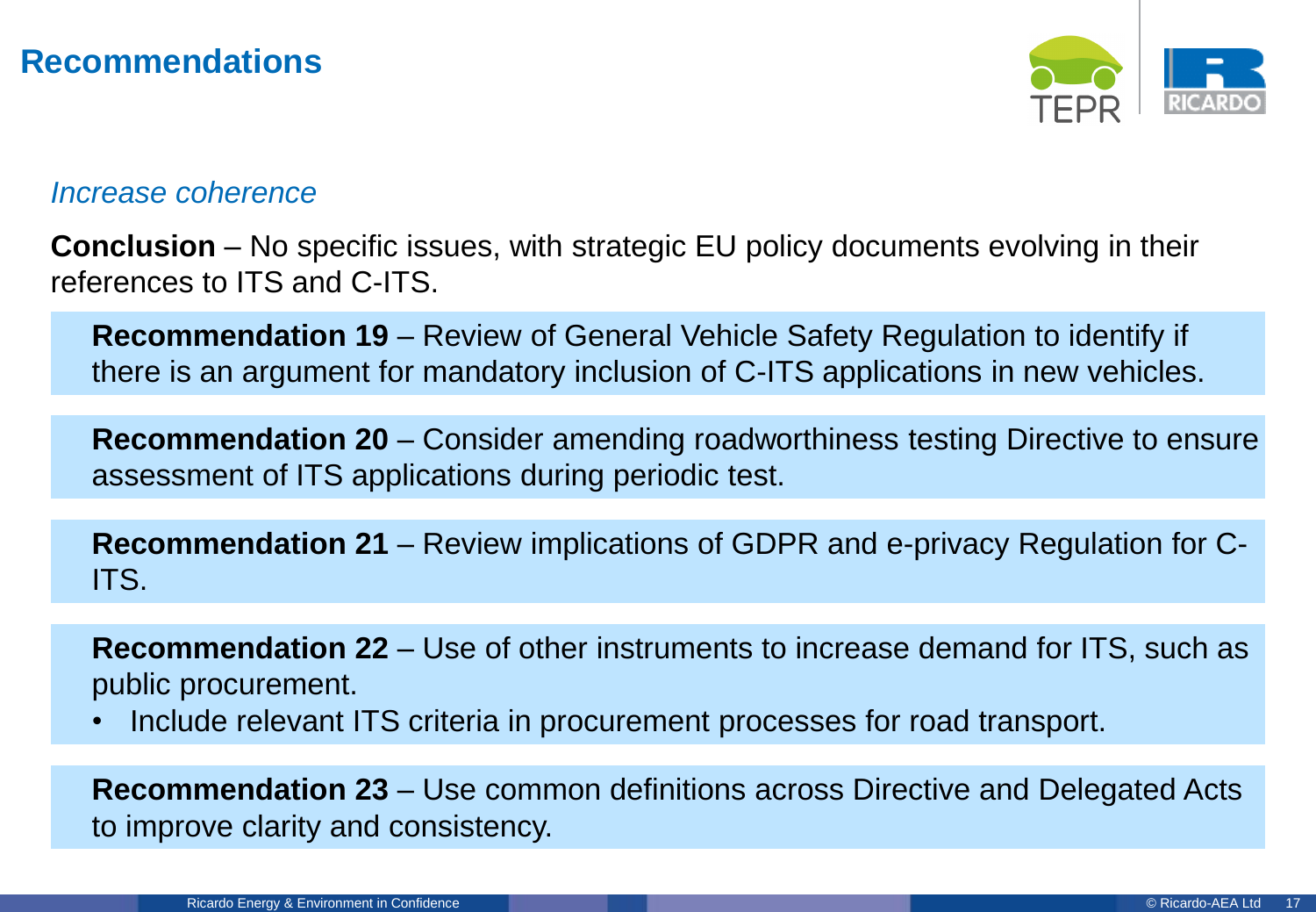

#### *Increase coherence*

**Conclusion** – No specific issues, with strategic EU policy documents evolving in their references to ITS and C-ITS.

**Recommendation 19** – Review of General Vehicle Safety Regulation to identify if there is an argument for mandatory inclusion of C-ITS applications in new vehicles.

**Recommendation 20** – Consider amending roadworthiness testing Directive to ensure assessment of ITS applications during periodic test.

**Recommendation 21** – Review implications of GDPR and e-privacy Regulation for C-ITS.

**Recommendation 22** – Use of other instruments to increase demand for ITS, such as public procurement.

• Include relevant ITS criteria in procurement processes for road transport.

**Recommendation 23** – Use common definitions across Directive and Delegated Acts to improve clarity and consistency.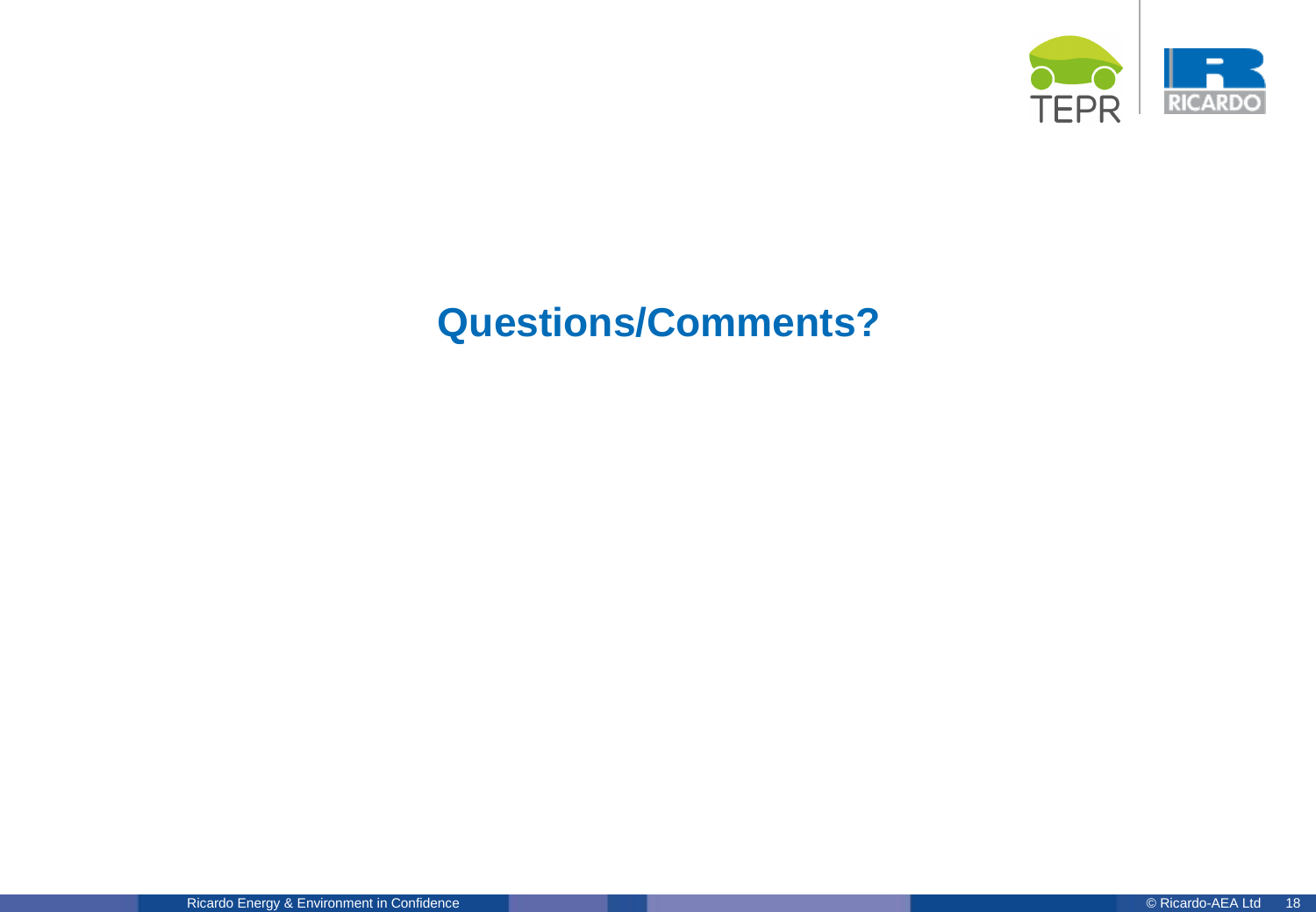

# **Questions/Comments?**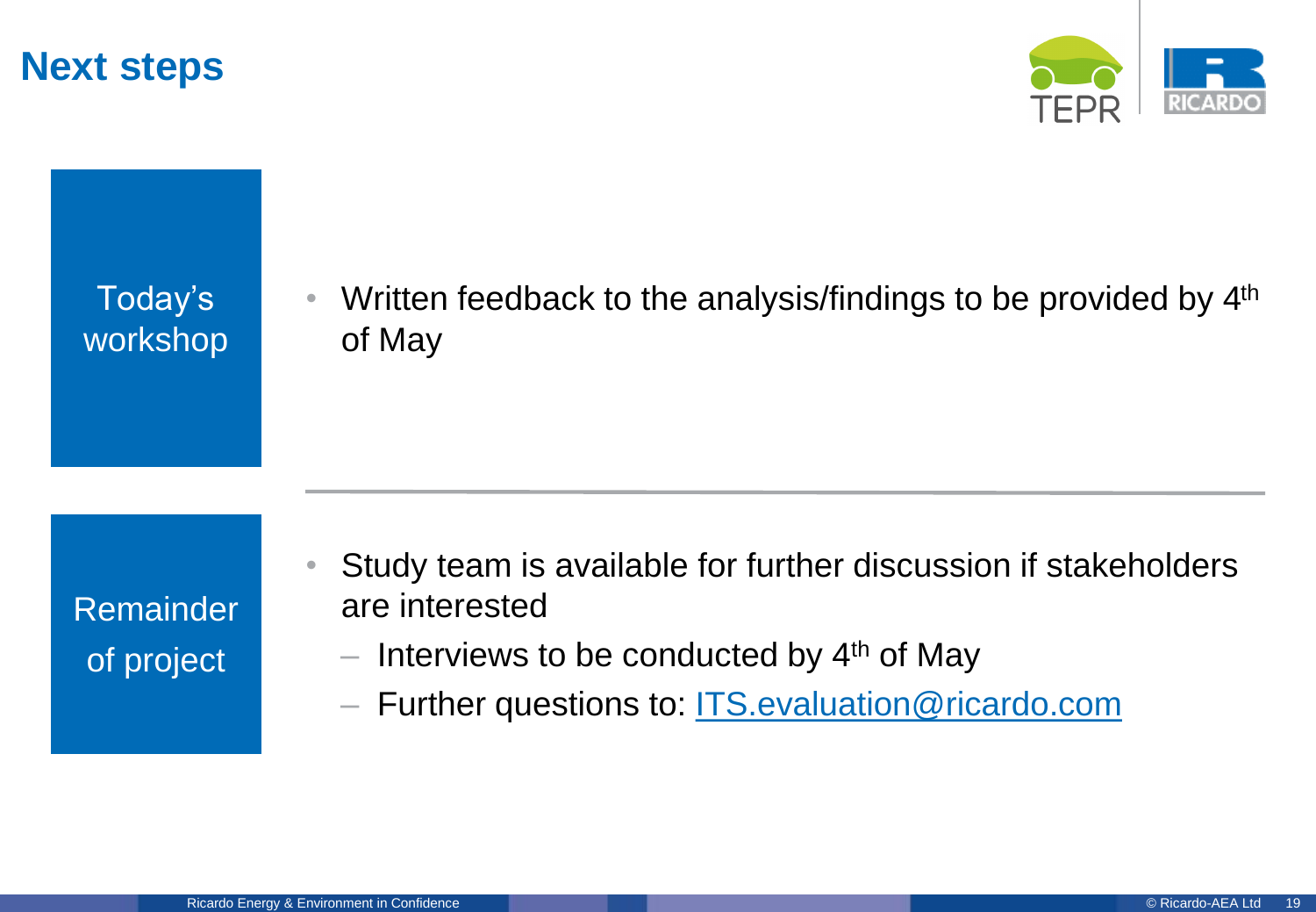## **Next steps**



Today's workshop • Written feedback to the analysis/findings to be provided by  $4<sup>th</sup>$ of May

Remainder of project

- Study team is available for further discussion if stakeholders are interested
	- $-$  Interviews to be conducted by 4<sup>th</sup> of May
	- Further questions to: [ITS.evaluation@ricardo.com](mailto:ITS.evaluation@ricardo.com)